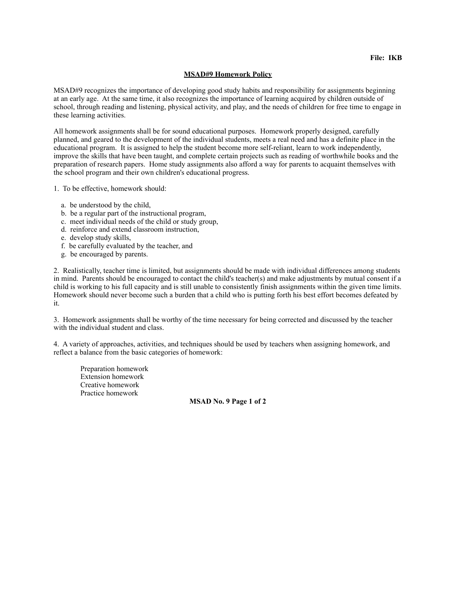## **MSAD#9 Homework Policy**

MSAD#9 recognizes the importance of developing good study habits and responsibility for assignments beginning at an early age. At the same time, it also recognizes the importance of learning acquired by children outside of school, through reading and listening, physical activity, and play, and the needs of children for free time to engage in these learning activities.

All homework assignments shall be for sound educational purposes. Homework properly designed, carefully planned, and geared to the development of the individual students, meets a real need and has a definite place in the educational program. It is assigned to help the student become more self-reliant, learn to work independently, improve the skills that have been taught, and complete certain projects such as reading of worthwhile books and the preparation of research papers. Home study assignments also afford a way for parents to acquaint themselves with the school program and their own children's educational progress.

1. To be effective, homework should:

- a. be understood by the child,
- b. be a regular part of the instructional program,
- c. meet individual needs of the child or study group,
- d. reinforce and extend classroom instruction,
- e. develop study skills,
- f. be carefully evaluated by the teacher, and
- g. be encouraged by parents.

2. Realistically, teacher time is limited, but assignments should be made with individual differences among students in mind. Parents should be encouraged to contact the child's teacher(s) and make adjustments by mutual consent if a child is working to his full capacity and is still unable to consistently finish assignments within the given time limits. Homework should never become such a burden that a child who is putting forth his best effort becomes defeated by it.

3. Homework assignments shall be worthy of the time necessary for being corrected and discussed by the teacher with the individual student and class.

4. A variety of approaches, activities, and techniques should be used by teachers when assigning homework, and reflect a balance from the basic categories of homework:

 Preparation homework Extension homework Creative homework Practice homework

**MSAD No. 9 Page 1 of 2**